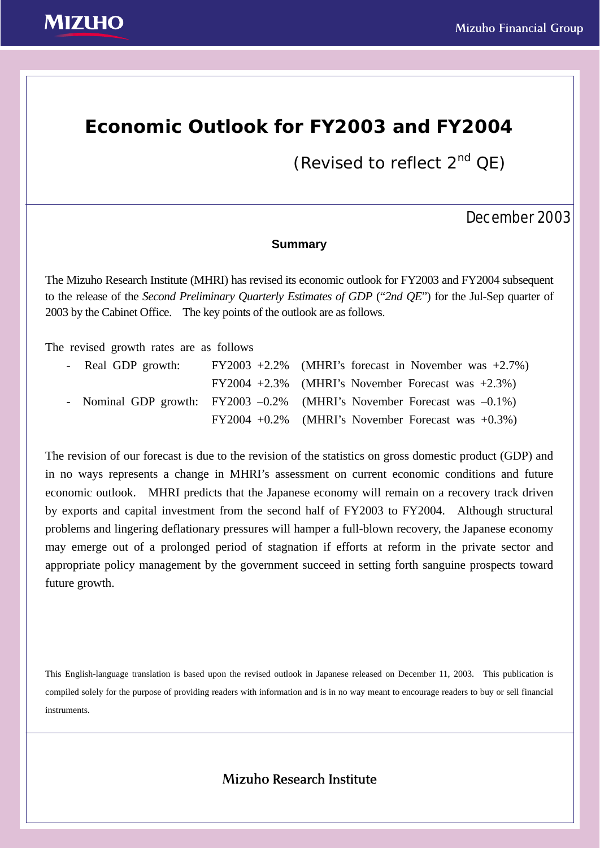# **Economic Outlook for FY2003 and FY2004**

(Revised to reflect  $2^{nd}$  QE)

# December 2003

### **Summary**

The Mizuho Research Institute (MHRI) has revised its economic outlook for FY2003 and FY2004 subsequent to the release of the *Second Preliminary Quarterly Estimates of GDP* ("*2nd QE*") for the Jul-Sep quarter of 2003 by the Cabinet Office. The key points of the outlook are as follows.

The revised growth rates are as follows

|  | - Real GDP growth: |  | $FY2003 +2.2\%$ (MHRI's forecast in November was $+2.7\%$ )                 |
|--|--------------------|--|-----------------------------------------------------------------------------|
|  |                    |  | $FY2004 +2.3\%$ (MHRI's November Forecast was $+2.3\%$ )                    |
|  |                    |  | - Nominal GDP growth: FY2003 -0.2% (MHRI's November Forecast was $-0.1\%$ ) |
|  |                    |  | $FY2004 +0.2\%$ (MHRI's November Forecast was $+0.3\%$ )                    |

The revision of our forecast is due to the revision of the statistics on gross domestic product (GDP) and in no ways represents a change in MHRI's assessment on current economic conditions and future economic outlook. MHRI predicts that the Japanese economy will remain on a recovery track driven by exports and capital investment from the second half of FY2003 to FY2004. Although structural problems and lingering deflationary pressures will hamper a full-blown recovery, the Japanese economy may emerge out of a prolonged period of stagnation if efforts at reform in the private sector and appropriate policy management by the government succeed in setting forth sanguine prospects toward future growth.

This English-language translation is based upon the revised outlook in Japanese released on December 11, 2003. This publication is compiled solely for the purpose of providing readers with information and is in no way meant to encourage readers to buy or sell financial instruments.

## Mizuho Research Institute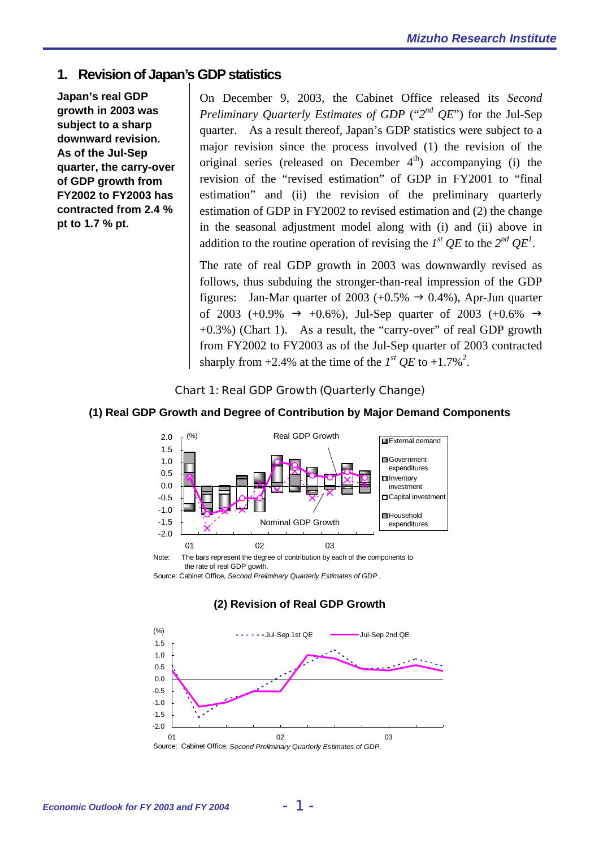### **1. Revision of Japan's GDP statistics**

**Japan's real GDP growth in 2003 was subject to a sharp downward revision. As of the Jul-Sep quarter, the carry-over of GDP growth from FY2002 to FY2003 has contracted from 2.4 % pt to 1.7 % pt.** 

On December 9, 2003, the Cabinet Office released its *Second Preliminary Quarterly Estimates of GDP* ("*2nd QE*") for the Jul-Sep quarter. As a result thereof, Japan's GDP statistics were subject to a major revision since the process involved (1) the revision of the original series (released on December  $4<sup>th</sup>$ ) accompanying (i) the revision of the "revised estimation" of GDP in FY2001 to "final estimation" and (ii) the revision of the preliminary quarterly estimation of GDP in FY2002 to revised estimation and (2) the change in the seasonal adjustment model along with (i) and (ii) above in addition to the routine operation of revising the  $I^{st}$  QE to the  $2^{nd}$  QE<sup>1</sup>.

The rate of real GDP growth in 2003 was downwardly revised as follows, thus subduing the stronger-than-real impression of the GDP figures: Jan-Mar quarter of 2003 (+0.5%  $\rightarrow$  0.4%), Apr-Jun quarter of 2003 (+0.9%  $\rightarrow$  +0.6%), Jul-Sep quarter of 2003 (+0.6%  $\rightarrow$  $+0.3\%$ ) (Chart 1). As a result, the "carry-over" of real GDP growth from FY2002 to FY2003 as of the Jul-Sep quarter of 2003 contracted sharply from  $+2.4\%$  at the time of the  $I^{st}$  QE to  $+1.7\%$ <sup>2</sup>.

#### Chart 1: Real GDP Growth (Quarterly Change)

#### **(1) Real GDP Growth and Degree of Contribution by Major Demand Components**



Note: The bars represent the degree of contribution by each of the components to the rate of real GDP gowth.

Source: Cabinet Office, *Second Preliminary Quarterly Estimates of GDP* .

#### **(2) Revision of Real GDP Growth**



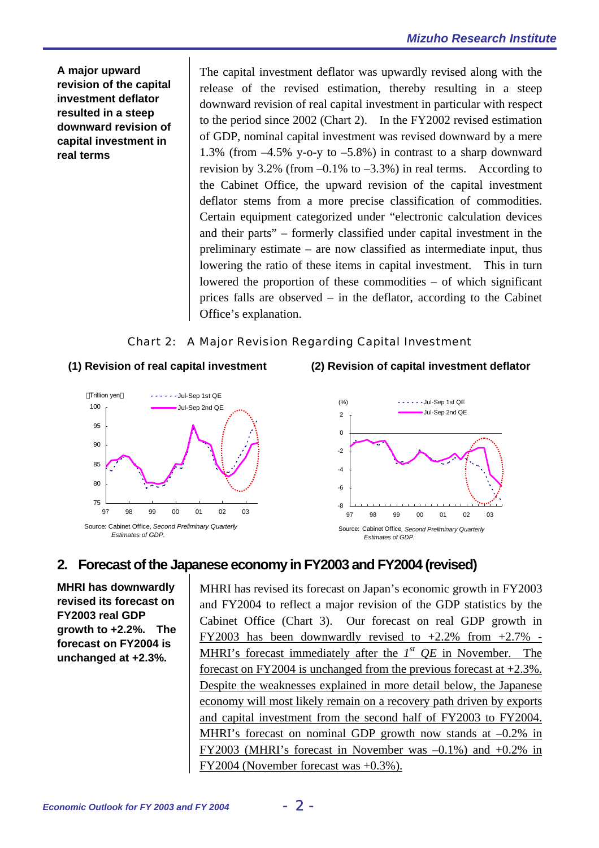**A major upward revision of the capital investment deflator resulted in a steep downward revision of capital investment in real terms** 

The capital investment deflator was upwardly revised along with the release of the revised estimation, thereby resulting in a steep downward revision of real capital investment in particular with respect to the period since 2002 (Chart 2). In the FY2002 revised estimation of GDP, nominal capital investment was revised downward by a mere 1.3% (from –4.5% y-o-y to –5.8%) in contrast to a sharp downward revision by 3.2% (from  $-0.1\%$  to  $-3.3\%$ ) in real terms. According to the Cabinet Office, the upward revision of the capital investment deflator stems from a more precise classification of commodities. Certain equipment categorized under "electronic calculation devices and their parts" – formerly classified under capital investment in the preliminary estimate – are now classified as intermediate input, thus lowering the ratio of these items in capital investment. This in turn lowered the proportion of these commodities – of which significant prices falls are observed – in the deflator, according to the Cabinet Office's explanation.

### Chart 2: A Major Revision Regarding Capital Investment





**(1) Revision of real capital investment (2) Revision of capital investment deflator** 



# **2. Forecast of the Japanese economy in FY2003 and FY2004 (revised)**

**MHRI has downwardly revised its forecast on FY2003 real GDP growth to +2.2%. The forecast on FY2004 is unchanged at +2.3%.** 

MHRI has revised its forecast on Japan's economic growth in FY2003 and FY2004 to reflect a major revision of the GDP statistics by the Cabinet Office (Chart 3). Our forecast on real GDP growth in FY2003 has been downwardly revised to  $+2.2\%$  from  $+2.7\%$  -MHRI's forecast immediately after the *1st QE* in November. The forecast on FY2004 is unchanged from the previous forecast at +2.3%. Despite the weaknesses explained in more detail below, the Japanese economy will most likely remain on a recovery path driven by exports and capital investment from the second half of FY2003 to FY2004. MHRI's forecast on nominal GDP growth now stands at  $-0.2\%$  in FY2003 (MHRI's forecast in November was –0.1%) and +0.2% in FY2004 (November forecast was +0.3%).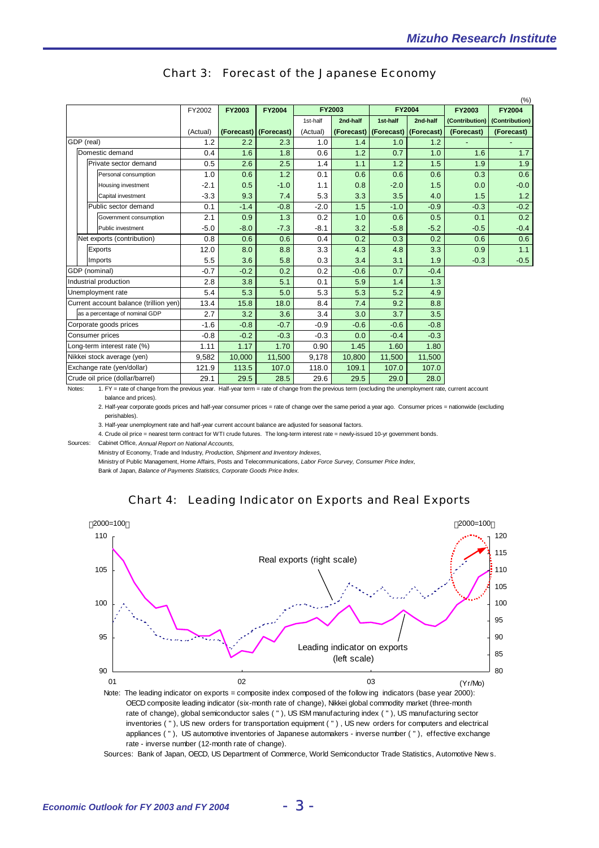|                                        | (%)             |                                |          |        |                       |               |            |               |            |               |                               |  |
|----------------------------------------|-----------------|--------------------------------|----------|--------|-----------------------|---------------|------------|---------------|------------|---------------|-------------------------------|--|
|                                        |                 |                                | FY2002   | FY2003 | <b>FY2004</b>         | <b>FY2003</b> |            | <b>FY2004</b> |            | <b>FY2003</b> | <b>FY2004</b>                 |  |
|                                        |                 |                                |          |        |                       | 1st-half      | 2nd-half   | 1st-half      | 2nd-half   |               | (Contribution) (Contribution) |  |
|                                        |                 |                                | (Actual) |        | (Forecast) (Forecast) | (Actual)      | (Forecast) | (Forecast)    | (Forecast) | (Forecast)    | (Forecast)                    |  |
| GDP (real)                             |                 | 1.2                            | 2.2      | 2.3    | 1.0                   | 1.4           | 1.0        | 1.2           |            |               |                               |  |
|                                        | Domestic demand |                                | 0.4      | 1.6    | 1.8                   | 0.6           | 1.2        | 0.7           | 1.0        | 1.6           | 1.7                           |  |
|                                        |                 | Private sector demand          | 0.5      | 2.6    | 2.5                   | 1.4           | 1.1        | 1.2           | 1.5        | 1.9           | 1.9                           |  |
|                                        |                 | Personal consumption           | 1.0      | 0.6    | 1.2                   | 0.1           | 0.6        | 0.6           | 0.6        | 0.3           | 0.6                           |  |
|                                        |                 | Housing investment             | $-2.1$   | 0.5    | $-1.0$                | 1.1           | 0.8        | $-2.0$        | 1.5        | 0.0           | $-0.0$                        |  |
|                                        |                 | Capital investment             | $-3.3$   | 9.3    | 7.4                   | 5.3           | 3.3        | 3.5           | 4.0        | 1.5           | 1.2                           |  |
|                                        |                 | Public sector demand           | 0.1      | $-1.4$ | $-0.8$                | $-2.0$        | 1.5        | $-1.0$        | $-0.9$     | $-0.3$        | $-0.2$                        |  |
|                                        |                 | Government consumption         | 2.1      | 0.9    | 1.3                   | 0.2           | 1.0        | 0.6           | 0.5        | 0.1           | 0.2                           |  |
|                                        |                 | Public investment              | $-5.0$   | $-8.0$ | $-7.3$                | $-8.1$        | 3.2        | $-5.8$        | $-5.2$     | $-0.5$        | $-0.4$                        |  |
|                                        |                 | Net exports (contribution)     | 0.8      | 0.6    | 0.6                   | 0.4           | 0.2        | 0.3           | 0.2        | 0.6           | 0.6                           |  |
|                                        |                 | Exports                        | 12.0     | 8.0    | 8.8                   | 3.3           | 4.3        | 4.8           | 3.3        | 0.9           | 1.1                           |  |
|                                        |                 | Imports                        | 5.5      | 3.6    | 5.8                   | 0.3           | 3.4        | 3.1           | 1.9        | $-0.3$        | $-0.5$                        |  |
| GDP (nominal)                          |                 | $-0.7$                         | $-0.2$   | 0.2    | 0.2                   | $-0.6$        | 0.7        | $-0.4$        |            |               |                               |  |
| Industrial production                  |                 | 2.8                            | 3.8      | 5.1    | 0.1                   | 5.9           | 1.4        | 1.3           |            |               |                               |  |
| Unemployment rate                      |                 | 5.4                            | 5.3      | 5.0    | 5.3                   | 5.3           | 5.2        | 4.9           |            |               |                               |  |
| Current account balance (trillion yen) |                 | 13.4                           | 15.8     | 18.0   | 8.4                   | 7.4           | 9.2        | 8.8           |            |               |                               |  |
|                                        |                 | as a percentage of nominal GDP | 2.7      | 3.2    | 3.6                   | 3.4           | 3.0        | 3.7           | 3.5        |               |                               |  |
| Corporate goods prices                 |                 | $-1.6$                         | $-0.8$   | $-0.7$ | $-0.9$                | $-0.6$        | $-0.6$     | $-0.8$        |            |               |                               |  |
| Consumer prices                        |                 | $-0.8$                         | $-0.2$   | $-0.3$ | $-0.3$                | 0.0           | $-0.4$     | $-0.3$        |            |               |                               |  |
| Long-term interest rate (%)            |                 | 1.11                           | 1.17     | 1.70   | 0.90                  | 1.45          | 1.60       | 1.80          |            |               |                               |  |
| Nikkei stock average (yen)             |                 |                                | 9,582    | 10,000 | 11,500                | 9,178         | 10,800     | 11,500        | 11,500     |               |                               |  |
| Exchange rate (yen/dollar)             |                 |                                | 121.9    | 113.5  | 107.0                 | 118.0         | 109.1      | 107.0         | 107.0      |               |                               |  |
| Crude oil price (dollar/barrel)        |                 | 29.1                           | 29.5     | 28.5   | 29.6                  | 29.5          | 29.0       | 28.0          |            |               |                               |  |

#### Chart 3: Forecast of the Japanese Economy

Notes: 1. FY = rate of change from the previous year. Half-year term = rate of change from the previous term (excluding the unemployment rate, current account

balance and prices).

2. Half-year corporate goods prices and half-year consumer prices = rate of change over the same period a year ago. Consumer prices = nationwide (excluding perishables).

3. Half-year unemployment rate and half-year current account balance are adjusted for seasonal factors.

4. Crude oil price = nearest term contract for WTI crude futures. The long-term interest rate = newly-issued 10-yr government bonds.

Sources: Cabinet Office, *Annual Report on National Accounts,*

Ministry of Economy, Trade and Industry, *Production, Shipment and Inventory Indexes,*

Ministry of Public Management, Home Affairs, Posts and Telecommunications, *Labor Force Survey, Consumer Price Index,* Bank of Japan, *Balance of Payments Statistics, Corporate Goods Price Index.*





 rate of change), global semiconductor sales ( " ), US ISM manufacturing index ( " ), US manufacturing sector inventories ( " ), US new orders for transportation equipment ( " ) , US new orders for computers and electrical appliances ( " ), US automotive inventories of Japanese automakers - inverse number ( " ), effective exchange rate - inverse number (12-month rate of change).

Sources: Bank of Japan, OECD, US Department of Commerce, World Semiconductor Trade Statistics, Automotive New s.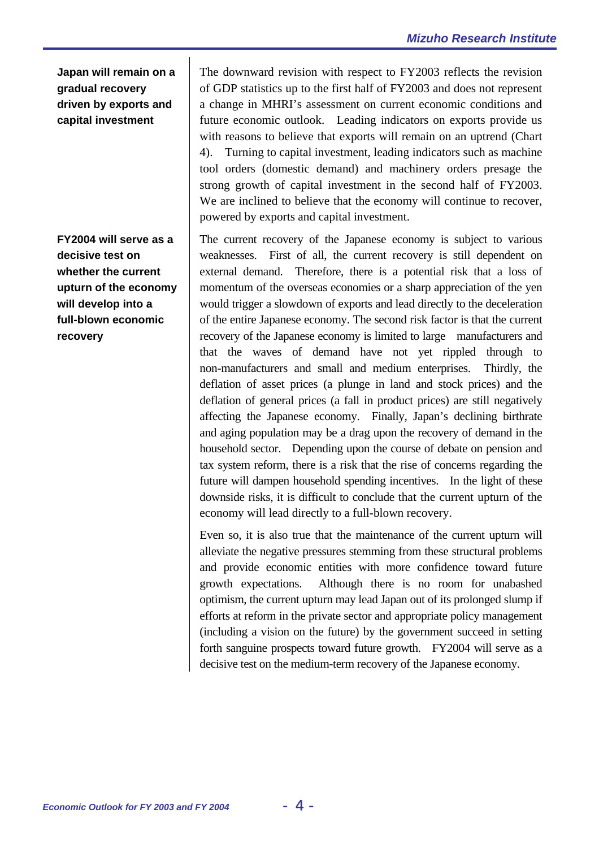**Japan will remain on a gradual recovery driven by exports and capital investment** 

**FY2004 will serve as a decisive test on whether the current upturn of the economy will develop into a full-blown economic recovery** 

The downward revision with respect to FY2003 reflects the revision of GDP statistics up to the first half of FY2003 and does not represent a change in MHRI's assessment on current economic conditions and future economic outlook. Leading indicators on exports provide us with reasons to believe that exports will remain on an uptrend (Chart 4). Turning to capital investment, leading indicators such as machine tool orders (domestic demand) and machinery orders presage the strong growth of capital investment in the second half of FY2003. We are inclined to believe that the economy will continue to recover, powered by exports and capital investment.

The current recovery of the Japanese economy is subject to various weaknesses. First of all, the current recovery is still dependent on external demand. Therefore, there is a potential risk that a loss of momentum of the overseas economies or a sharp appreciation of the yen would trigger a slowdown of exports and lead directly to the deceleration of the entire Japanese economy. The second risk factor is that the current recovery of the Japanese economy is limited to large manufacturers and that the waves of demand have not yet rippled through to non-manufacturers and small and medium enterprises. Thirdly, the deflation of asset prices (a plunge in land and stock prices) and the deflation of general prices (a fall in product prices) are still negatively affecting the Japanese economy. Finally, Japan's declining birthrate and aging population may be a drag upon the recovery of demand in the household sector. Depending upon the course of debate on pension and tax system reform, there is a risk that the rise of concerns regarding the future will dampen household spending incentives. In the light of these downside risks, it is difficult to conclude that the current upturn of the economy will lead directly to a full-blown recovery.

Even so, it is also true that the maintenance of the current upturn will alleviate the negative pressures stemming from these structural problems and provide economic entities with more confidence toward future growth expectations. Although there is no room for unabashed optimism, the current upturn may lead Japan out of its prolonged slump if efforts at reform in the private sector and appropriate policy management (including a vision on the future) by the government succeed in setting forth sanguine prospects toward future growth. FY2004 will serve as a decisive test on the medium-term recovery of the Japanese economy.